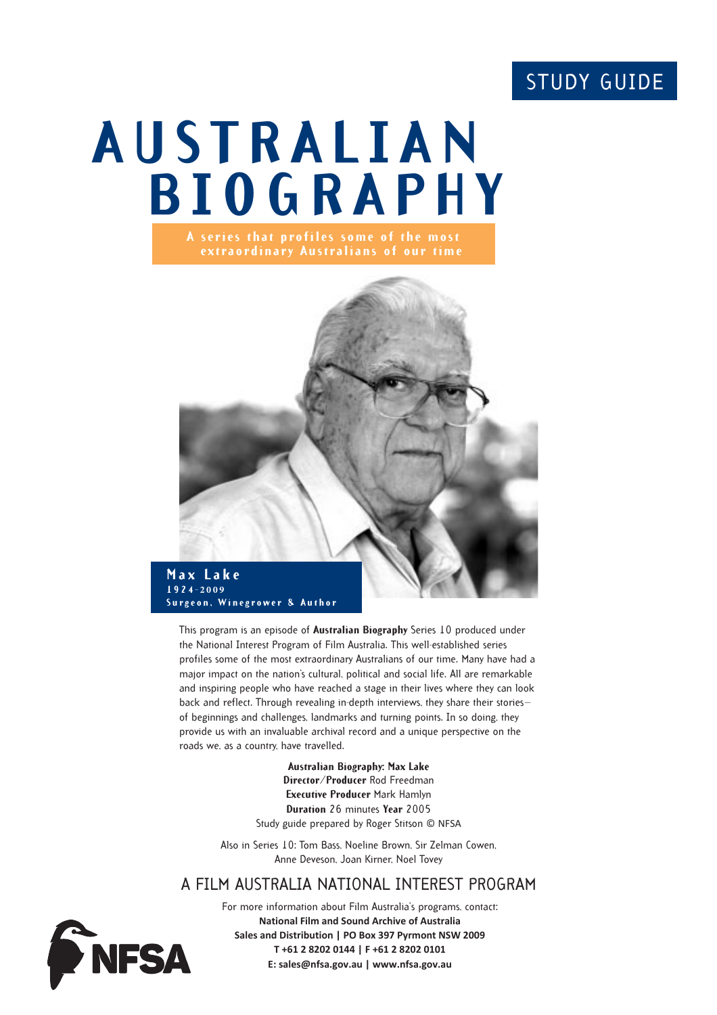# STUDY GUIDE

# **AUSTRALIAN BIOGRAPHY A series that profiles some of the most**



This program is an episode of **Australian Biography** Series 10 produced under the National Interest Program of Film Australia. This well-established series profiles some of the most extraordinary Australians of our time. Many have had a major impact on the nation's cultural, political and social life. All are remarkable and inspiring people who have reached a stage in their lives where they can look back and reflect. Through revealing in-depth interviews, they share their stories of beginnings and challenges, landmarks and turning points. In so doing, they provide us with an invaluable archival record and a unique perspective on the roads we, as a country, have travelled.

> **Australian Biography: Max Lake Director/Producer** Rod Freedman **Executive Producer** Mark Hamlyn **Duration** 26 minutes **Year** 2005 Study guide prepared by Roger Stitson © NFSA

Also in Series 10: Tom Bass, Noeline Brown, Sir Zelman Cowen, Anne Deveson, Joan Kirner, Noel Tovey

#### A FILM AUSTRALIA NATIONAL INTEREST PROGRAM



For more information about Film Australia's programs, contact: **National Film and Sound Archive of Australia Sales and Distribution | PO Box 397 Pyrmont NSW 2009 T +61 2 8202 0144 | F +61 2 8202 0101 E: sales@nfsa.gov.au | www.nfsa.gov.au**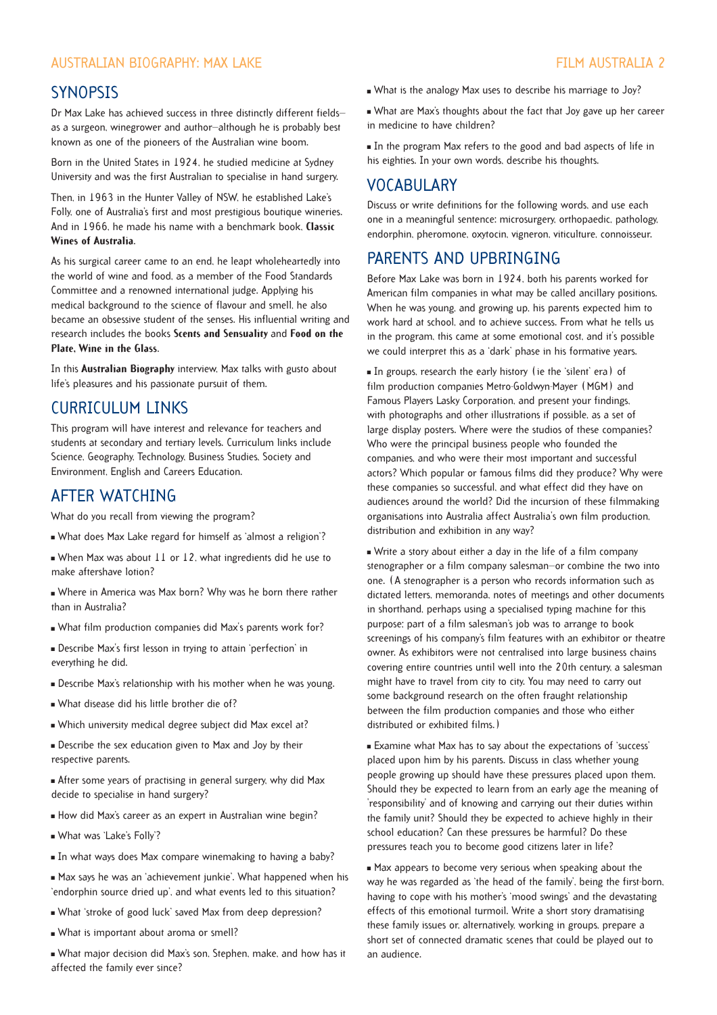#### AUSTRALIAN BIOGRAPHY: MAX LAKE FILM AUSTRALIA 2

#### **SYNOPSIS**

Dr Max Lake has achieved success in three distinctly different fields as a surgeon, winegrower and author—although he is probably best known as one of the pioneers of the Australian wine boom.

Born in the United States in 1924, he studied medicine at Sydney University and was the first Australian to specialise in hand surgery.

Then, in 1963 in the Hunter Valley of NSW, he established Lake's Folly, one of Australia's first and most prestigious boutique wineries. And in 1966, he made his name with a benchmark book, **Classic Wines of Australia**.

As his surgical career came to an end, he leapt wholeheartedly into the world of wine and food, as a member of the Food Standards Committee and a renowned international judge. Applying his medical background to the science of flavour and smell, he also became an obsessive student of the senses. His influential writing and research includes the books **Scents and Sensuality** and **Food on the Plate, Wine in the Glass**.

In this **Australian Biography** interview, Max talks with gusto about life's pleasures and his passionate pursuit of them.

#### CURRICULUM LINKS

This program will have interest and relevance for teachers and students at secondary and tertiary levels. Curriculum links include Science, Geography, Technology, Business Studies, Society and Environment, English and Careers Education.

#### AFTER WATCHING

What do you recall from viewing the program?

- " What does Max Lake regard for himself as 'almost a religion'?
- When Max was about 11 or 12, what ingredients did he use to make aftershave lotion?
- " Where in America was Max born? Why was he born there rather than in Australia?
- " What film production companies did Max's parents work for?
- " Describe Max's first lesson in trying to attain 'perfection' in everything he did.
- " Describe Max's relationship with his mother when he was young.
- . What disease did his little brother die of?
- " Which university medical degree subject did Max excel at?
- " Describe the sex education given to Max and Joy by their respective parents.

" After some years of practising in general surgery, why did Max decide to specialise in hand surgery?

- How did Max's career as an expert in Australian wine begin?
- " What was 'Lake's Folly'?
- In what ways does Max compare winemaking to having a baby?
- " Max says he was an 'achievement junkie'. What happened when his 'endorphin source dried up', and what events led to this situation?
- What 'stroke of good luck' saved Max from deep depression?
- . What is important about aroma or smell?

" What major decision did Max's son, Stephen, make, and how has it affected the family ever since?

- . What is the analogy Max uses to describe his marriage to Joy?
- " What are Max's thoughts about the fact that Joy gave up her career in medicine to have children?

In the program Max refers to the good and bad aspects of life in his eighties. In your own words, describe his thoughts.

#### VOCABULARY

Discuss or write definitions for the following words, and use each one in a meaningful sentence: microsurgery, orthopaedic, pathology, endorphin, pheromone, oxytocin, vigneron, viticulture, connoisseur.

#### PARENTS AND UPBRINGING

Before Max Lake was born in 1924, both his parents worked for American film companies in what may be called ancillary positions. When he was young, and growing up, his parents expected him to work hard at school, and to achieve success. From what he tells us in the program, this came at some emotional cost, and it's possible we could interpret this as a 'dark' phase in his formative years.

" In groups, research the early history (ie the 'silent' era) of film production companies Metro-Goldwyn-Mayer (MGM) and Famous Players Lasky Corporation, and present your findings, with photographs and other illustrations if possible, as a set of large display posters. Where were the studios of these companies? Who were the principal business people who founded the companies, and who were their most important and successful actors? Which popular or famous films did they produce? Why were these companies so successful, and what effect did they have on audiences around the world? Did the incursion of these filmmaking organisations into Australia affect Australia's own film production, distribution and exhibition in any way?

" Write a story about either a day in the life of a film company stenographer or a film company salesman—or combine the two into one. (A stenographer is a person who records information such as dictated letters, memoranda, notes of meetings and other documents in shorthand, perhaps using a specialised typing machine for this purpose; part of a film salesman's job was to arrange to book screenings of his company's film features with an exhibitor or theatre owner. As exhibitors were not centralised into large business chains covering entire countries until well into the 20th century, a salesman might have to travel from city to city. You may need to carry out some background research on the often fraught relationship between the film production companies and those who either distributed or exhibited films.)

**Examine what Max has to say about the expectations of 'success'** placed upon him by his parents. Discuss in class whether young people growing up should have these pressures placed upon them. Should they be expected to learn from an early age the meaning of 'responsibility' and of knowing and carrying out their duties within the family unit? Should they be expected to achieve highly in their school education? Can these pressures be harmful? Do these pressures teach you to become good citizens later in life?

 $\blacksquare$  Max appears to become very serious when speaking about the way he was regarded as 'the head of the family', being the first-born, having to cope with his mother's 'mood swings' and the devastating effects of this emotional turmoil. Write a short story dramatising these family issues or, alternatively, working in groups, prepare a short set of connected dramatic scenes that could be played out to an audience.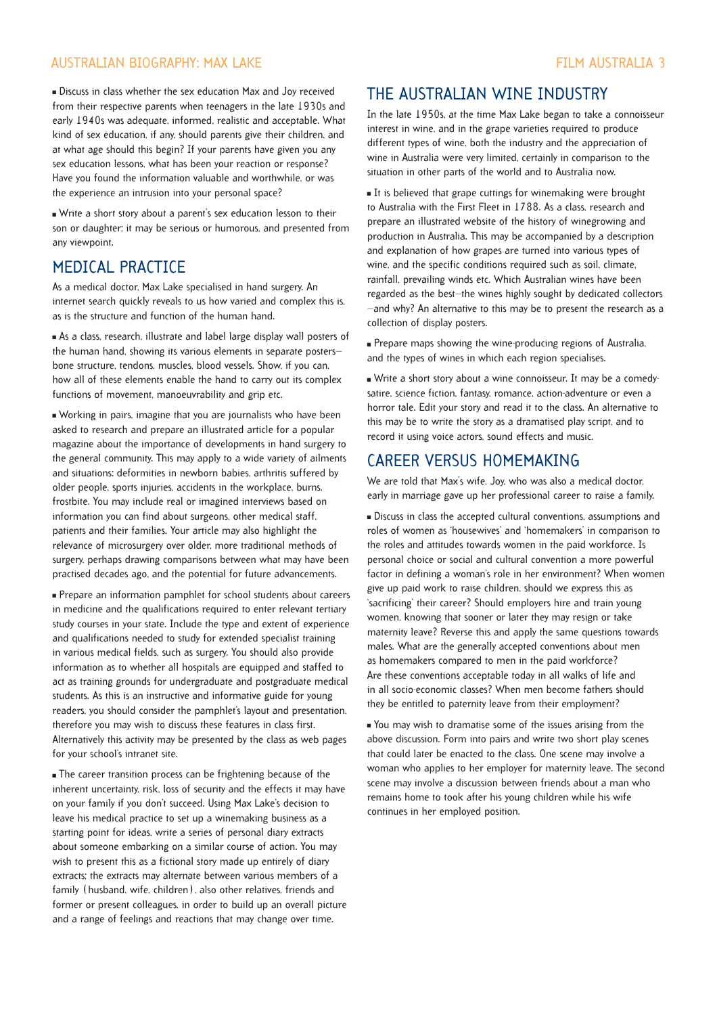#### AUSTRALIAN BIOGRAPHY: MAX LAKE FILM AUSTRALIA 3

" Discuss in class whether the sex education Max and Joy received from their respective parents when teenagers in the late 1930s and early 1940s was adequate, informed, realistic and acceptable. What kind of sex education, if any, should parents give their children, and at what age should this begin? If your parents have given you any sex education lessons, what has been your reaction or response? Have you found the information valuable and worthwhile, or was the experience an intrusion into your personal space?

" Write a short story about a parent's sex education lesson to their son or daughter; it may be serious or humorous, and presented from any viewpoint.

#### MEDICAL PRACTICE

As a medical doctor, Max Lake specialised in hand surgery. An internet search quickly reveals to us how varied and complex this is, as is the structure and function of the human hand.

" As a class, research, illustrate and label large display wall posters of the human hand, showing its various elements in separate posters bone structure, tendons, muscles, blood vessels. Show, if you can, how all of these elements enable the hand to carry out its complex functions of movement, manoeuvrability and grip etc.

" Working in pairs, imagine that you are journalists who have been asked to research and prepare an illustrated article for a popular magazine about the importance of developments in hand surgery to the general community. This may apply to a wide variety of ailments and situations: deformities in newborn babies, arthritis suffered by older people, sports injuries, accidents in the workplace, burns, frostbite. You may include real or imagined interviews based on information you can find about surgeons, other medical staff, patients and their families. Your article may also highlight the relevance of microsurgery over older, more traditional methods of surgery, perhaps drawing comparisons between what may have been practised decades ago, and the potential for future advancements.

" Prepare an information pamphlet for school students about careers in medicine and the qualifications required to enter relevant tertiary study courses in your state. Include the type and extent of experience and qualifications needed to study for extended specialist training in various medical fields, such as surgery. You should also provide information as to whether all hospitals are equipped and staffed to act as training grounds for undergraduate and postgraduate medical students. As this is an instructive and informative guide for young readers, you should consider the pamphlet's layout and presentation, therefore you may wish to discuss these features in class first. Alternatively this activity may be presented by the class as web pages for your school's intranet site.

" The career transition process can be frightening because of the inherent uncertainty, risk, loss of security and the effects it may have on your family if you don't succeed. Using Max Lake's decision to leave his medical practice to set up a winemaking business as a starting point for ideas, write a series of personal diary extracts about someone embarking on a similar course of action. You may wish to present this as a fictional story made up entirely of diary extracts; the extracts may alternate between various members of a family (husband, wife, children), also other relatives, friends and former or present colleagues, in order to build up an overall picture and a range of feelings and reactions that may change over time.

### THE AUSTRALIAN WINE INDUSTRY

In the late 1950s, at the time Max Lake began to take a connoisseur interest in wine, and in the grape varieties required to produce different types of wine, both the industry and the appreciation of wine in Australia were very limited, certainly in comparison to the situation in other parts of the world and to Australia now.

It is believed that grape cuttings for winemaking were brought to Australia with the First Fleet in 1788. As a class, research and prepare an illustrated website of the history of winegrowing and production in Australia. This may be accompanied by a description and explanation of how grapes are turned into various types of wine, and the specific conditions required such as soil, climate, rainfall, prevailing winds etc. Which Australian wines have been regarded as the best—the wines highly sought by dedicated collectors —and why? An alternative to this may be to present the research as a collection of display posters.

" Prepare maps showing the wine-producing regions of Australia, and the types of wines in which each region specialises.

" Write a short story about a wine connoisseur. It may be a comedysatire, science fiction, fantasy, romance, action-adventure or even a horror tale. Edit your story and read it to the class. An alternative to this may be to write the story as a dramatised play script, and to record it using voice actors, sound effects and music.

#### CAREER VERSUS HOMEMAKING

We are told that Max's wife, Joy, who was also a medical doctor, early in marriage gave up her professional career to raise a family.

" Discuss in class the accepted cultural conventions, assumptions and roles of women as 'housewives' and 'homemakers' in comparison to the roles and attitudes towards women in the paid workforce. Is personal choice or social and cultural convention a more powerful factor in defining a woman's role in her environment? When women give up paid work to raise children, should we express this as 'sacrificing' their career? Should employers hire and train young women, knowing that sooner or later they may resign or take maternity leave? Reverse this and apply the same questions towards males. What are the generally accepted conventions about men as homemakers compared to men in the paid workforce? Are these conventions acceptable today in all walks of life and in all socio-economic classes? When men become fathers should they be entitled to paternity leave from their employment?

" You may wish to dramatise some of the issues arising from the above discussion. Form into pairs and write two short play scenes that could later be enacted to the class. One scene may involve a woman who applies to her employer for maternity leave. The second scene may involve a discussion between friends about a man who remains home to took after his young children while his wife continues in her employed position.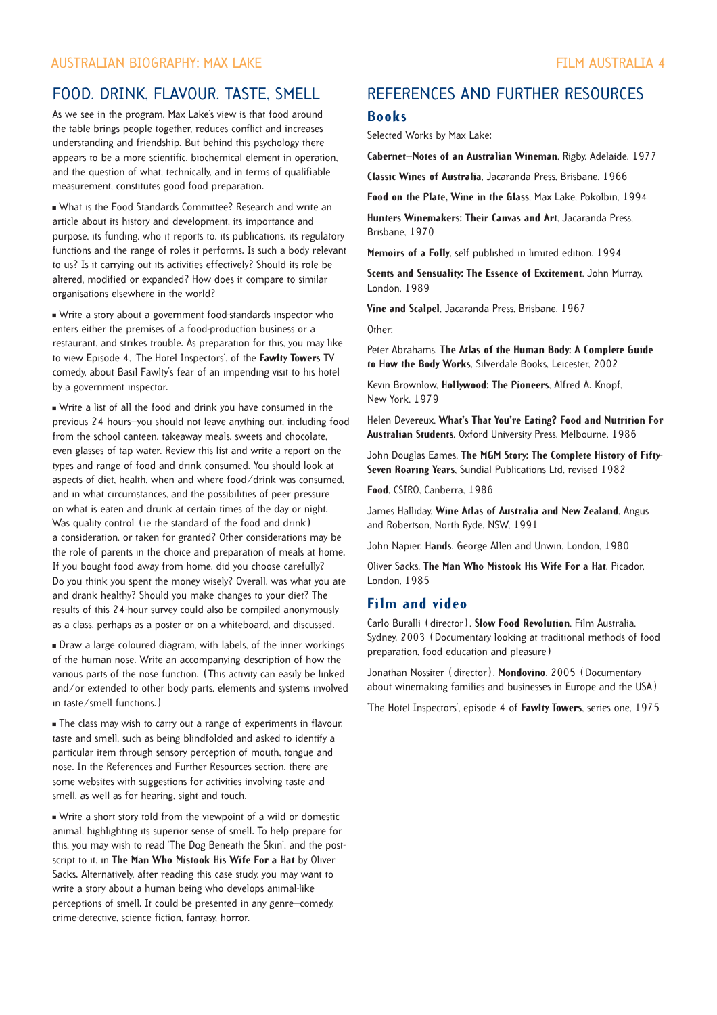### FOOD, DRINK, FLAVOUR, TASTE, SMELL

As we see in the program, Max Lake's view is that food around the table brings people together, reduces conflict and increases understanding and friendship. But behind this psychology there appears to be a more scientific, biochemical element in operation, and the question of what, technically, and in terms of qualifiable measurement, constitutes good food preparation.

. What is the Food Standards Committee? Research and write an article about its history and development, its importance and purpose, its funding, who it reports to, its publications, its regulatory functions and the range of roles it performs. Is such a body relevant to us? Is it carrying out its activities effectively? Should its role be altered, modified or expanded? How does it compare to similar organisations elsewhere in the world?

" Write a story about a government food-standards inspector who enters either the premises of a food-production business or a restaurant, and strikes trouble. As preparation for this, you may like to view Episode 4, 'The Hotel Inspectors', of the **Fawlty Towers** TV comedy, about Basil Fawlty's fear of an impending visit to his hotel by a government inspector.

" Write a list of all the food and drink you have consumed in the previous 24 hours—you should not leave anything out, including food from the school canteen, takeaway meals, sweets and chocolate, even glasses of tap water. Review this list and write a report on the types and range of food and drink consumed. You should look at aspects of diet, health, when and where food/drink was consumed, and in what circumstances, and the possibilities of peer pressure on what is eaten and drunk at certain times of the day or night. Was quality control (ie the standard of the food and drink) a consideration, or taken for granted? Other considerations may be the role of parents in the choice and preparation of meals at home. If you bought food away from home, did you choose carefully? Do you think you spent the money wisely? Overall, was what you ate and drank healthy? Should you make changes to your diet? The results of this 24-hour survey could also be compiled anonymously as a class, perhaps as a poster or on a whiteboard, and discussed.

" Draw a large coloured diagram, with labels, of the inner workings of the human nose. Write an accompanying description of how the various parts of the nose function. (This activity can easily be linked and/or extended to other body parts, elements and systems involved in taste/smell functions.)

The class may wish to carry out a range of experiments in flavour, taste and smell, such as being blindfolded and asked to identify a particular item through sensory perception of mouth, tongue and nose. In the References and Further Resources section, there are some websites with suggestions for activities involving taste and smell, as well as for hearing, sight and touch.

" Write a short story told from the viewpoint of a wild or domestic animal, highlighting its superior sense of smell. To help prepare for this, you may wish to read 'The Dog Beneath the Skin', and the postscript to it, in **The Man Who Mistook His Wife For a Hat** by Oliver Sacks. Alternatively, after reading this case study, you may want to write a story about a human being who develops animal-like perceptions of smell. It could be presented in any genre—comedy, crime-detective, science fiction, fantasy, horror.

## REFERENCES AND FURTHER RESOURCES

#### **Books**

Selected Works by Max Lake:

**Cabernet—Notes of an Australian Wineman**, Rigby, Adelaide, 1977

**Classic Wines of Australia**, Jacaranda Press, Brisbane, 1966

**Food on the Plate, Wine in the Glass**, Max Lake, Pokolbin, 1994

**Hunters Winemakers: Their Canvas and Art**, Jacaranda Press, Brisbane, 1970

**Memoirs of a Folly**, self published in limited edition, 1994

**Scents and Sensuality: The Essence of Excitement**, John Murray, London, 1989

**Vine and Scalpel**, Jacaranda Press, Brisbane, 1967

Other:

Peter Abrahams, **The Atlas of the Human Body: A Complete Guide to How the Body Works**, Silverdale Books, Leicester, 2002

Kevin Brownlow, **Hollywood: The Pioneers**, Alfred A. Knopf, New York, 1979

Helen Devereux, **What's That You're Eating? Food and Nutrition For Australian Students**, Oxford University Press, Melbourne, 1986

John Douglas Eames, **The MGM Story: The Complete History of Fifty-Seven Roaring Years**, Sundial Publications Ltd, revised 1982

**Food**, CSIRO, Canberra, 1986

James Halliday, **Wine Atlas of Australia and New Zealand**, Angus and Robertson, North Ryde, NSW, 1991

John Napier, **Hands**, George Allen and Unwin, London, 1980

Oliver Sacks, **The Man Who Mistook His Wife For a Hat**, Picador, London, 1985

#### **Film and video**

Carlo Buralli (director), **Slow Food Revolution**, Film Australia, Sydney, 2003 (Documentary looking at traditional methods of food preparation, food education and pleasure)

Jonathan Nossiter (director), **Mondovino**, 2005 (Documentary about winemaking families and businesses in Europe and the USA)

'The Hotel Inspectors', episode 4 of **Fawlty Towers**, series one, 1975